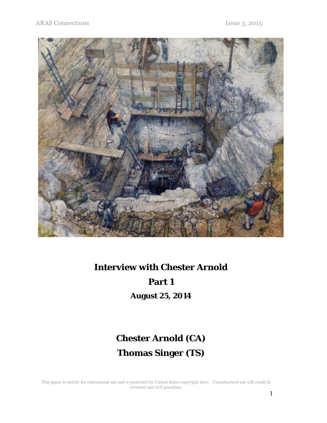

# **Interview with Chester Arnold Part 1**

**August 25, 2014** 

## **Chester Arnold (CA) Thomas Singer (TS)**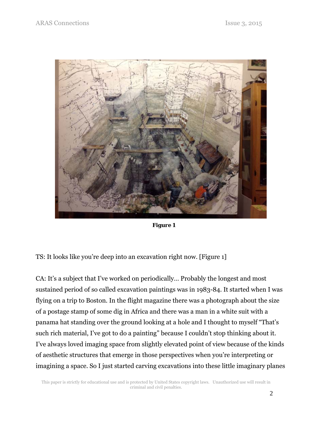

 *Figure 1* 

TS: It looks like you're deep into an excavation right now. [Figure 1]

CA: It's a subject that I've worked on periodically… Probably the longest and most sustained period of so called excavation paintings was in 1983-84. It started when I was flying on a trip to Boston. In the flight magazine there was a photograph about the size of a postage stamp of some dig in Africa and there was a man in a white suit with a panama hat standing over the ground looking at a hole and I thought to myself "That's such rich material, I've got to do a painting" because I couldn't stop thinking about it. I've always loved imaging space from slightly elevated point of view because of the kinds of aesthetic structures that emerge in those perspectives when you're interpreting or imagining a space. So I just started carving excavations into these little imaginary planes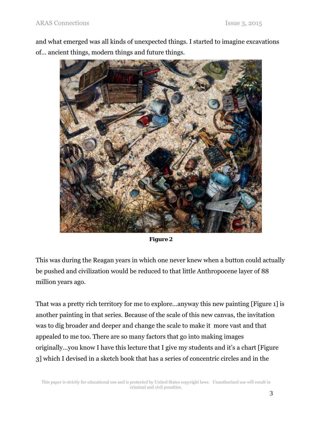and what emerged was all kinds of unexpected things. I started to imagine excavations of… ancient things, modern things and future things.



| riølire |  |
|---------|--|
|---------|--|

This was during the Reagan years in which one never knew when a button could actually be pushed and civilization would be reduced to that little Anthropocene layer of 88 million years ago.

That was a pretty rich territory for me to explore…anyway this new painting [Figure 1] is another painting in that series. Because of the scale of this new canvas, the invitation was to dig broader and deeper and change the scale to make it more vast and that appealed to me too. There are so many factors that go into making images originally…you know I have this lecture that I give my students and it's a chart [Figure 3] which I devised in a sketch book that has a series of concentric circles and in the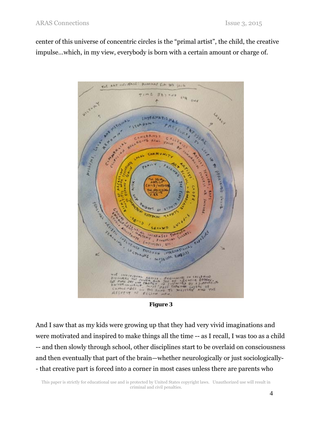center of this universe of concentric circles is the "primal artist", the child, the creative impulse…which, in my view, everybody is born with a certain amount or charge of.



*Figure 3* 

And I saw that as my kids were growing up that they had very vivid imaginations and were motivated and inspired to make things all the time -- as I recall, I was too as a child -- and then slowly through school, other disciplines start to be overlaid on consciousness and then eventually that part of the brain—whether neurologically or just sociologically- - that creative part is forced into a corner in most cases unless there are parents who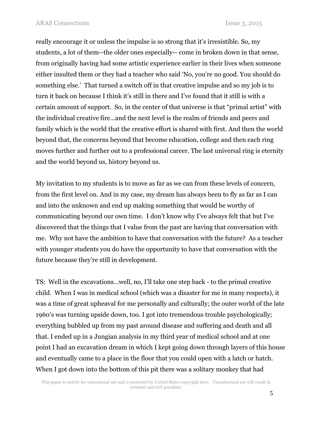really encourage it or unless the impulse is so strong that it's irresistible. So, my students, a lot of them--the older ones especially-- come in broken down in that sense, from originally having had some artistic experience earlier in their lives when someone either insulted them or they had a teacher who said 'No, you're no good. You should do something else.' That turned a switch off in that creative impulse and so my job is to turn it back on because I think it's still in there and I've found that it still is with a certain amount of support. So, in the center of that universe is that "primal artist" with the individual creative fire…and the next level is the realm of friends and peers and family which is the world that the creative effort is shared with first. And then the world beyond that, the concerns beyond that become education, college and then each ring moves further and further out to a professional career. The last universal ring is eternity and the world beyond us, history beyond us.

My invitation to my students is to move as far as we can from these levels of concern, from the first level on. And in my case, my dream has always been to fly as far as I can and into the unknown and end up making something that would be worthy of communicating beyond our own time. I don't know why I've always felt that but I've discovered that the things that I value from the past are having that conversation with me. Why not have the ambition to have that conversation with the future? As a teacher with younger students you do have the opportunity to have that conversation with the future because they're still in development.

TS: Well in the excavations…well, no, I'll take one step back - to the primal creative child. When I was in medical school (which was a disaster for me in many respects), it was a time of great upheaval for me personally and culturally; the outer world of the late 1960's was turning upside down, too. I got into tremendous trouble psychologically; everything bubbled up from my past around disease and suffering and death and all that. I ended up in a Jungian analysis in my third year of medical school and at one point I had an excavation dream in which I kept going down through layers of this house and eventually came to a place in the floor that you could open with a latch or hatch. When I got down into the bottom of this pit there was a solitary monkey that had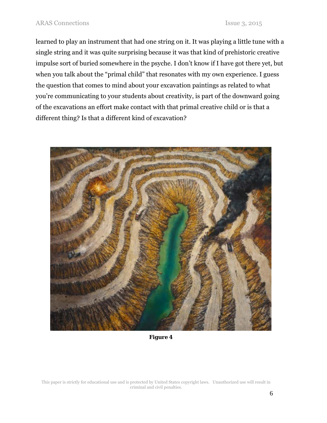learned to play an instrument that had one string on it. It was playing a little tune with a single string and it was quite surprising because it was that kind of prehistoric creative impulse sort of buried somewhere in the psyche. I don't know if I have got there yet, but when you talk about the "primal child" that resonates with my own experience. I guess the question that comes to mind about your excavation paintings as related to what you're communicating to your students about creativity, is part of the downward going of the excavations an effort make contact with that primal creative child or is that a different thing? Is that a different kind of excavation?



*Figure 4*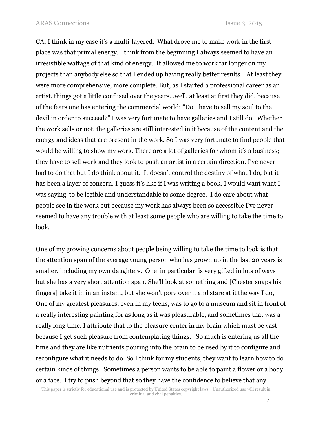CA: I think in my case it's a multi-layered. What drove me to make work in the first place was that primal energy. I think from the beginning I always seemed to have an irresistible wattage of that kind of energy. It allowed me to work far longer on my projects than anybody else so that I ended up having really better results. At least they were more comprehensive, more complete. But, as I started a professional career as an artist. things got a little confused over the years…well, at least at first they did, because of the fears one has entering the commercial world: "Do I have to sell my soul to the devil in order to succeed?" I was very fortunate to have galleries and I still do. Whether the work sells or not, the galleries are still interested in it because of the content and the energy and ideas that are present in the work. So I was very fortunate to find people that would be willing to show my work. There are a lot of galleries for whom it's a business; they have to sell work and they look to push an artist in a certain direction. I've never had to do that but I do think about it. It doesn't control the destiny of what I do, but it has been a layer of concern. I guess it's like if I was writing a book, I would want what I was saying to be legible and understandable to some degree. I do care about what people see in the work but because my work has always been so accessible I've never seemed to have any trouble with at least some people who are willing to take the time to look.

One of my growing concerns about people being willing to take the time to look is that the attention span of the average young person who has grown up in the last 20 years is smaller, including my own daughters. One in particular is very gifted in lots of ways but she has a very short attention span. She'll look at something and [Chester snaps his fingers] take it in in an instant, but she won't pore over it and stare at it the way I do, One of my greatest pleasures, even in my teens, was to go to a museum and sit in front of a really interesting painting for as long as it was pleasurable, and sometimes that was a really long time. I attribute that to the pleasure center in my brain which must be vast because I get such pleasure from contemplating things. So much is entering us all the time and they are like nutrients pouring into the brain to be used by it to configure and reconfigure what it needs to do. So I think for my students, they want to learn how to do certain kinds of things. Sometimes a person wants to be able to paint a flower or a body or a face. I try to push beyond that so they have the confidence to believe that any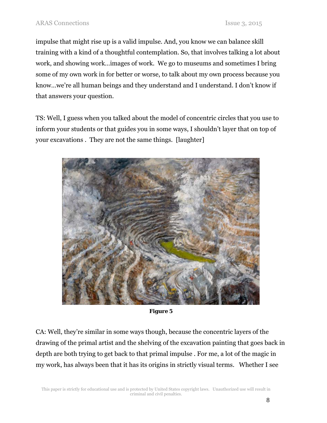impulse that might rise up is a valid impulse. And, you know we can balance skill training with a kind of a thoughtful contemplation. So, that involves talking a lot about work, and showing work…images of work. We go to museums and sometimes I bring some of my own work in for better or worse, to talk about my own process because you know…we're all human beings and they understand and I understand. I don't know if that answers your question.

TS: Well, I guess when you talked about the model of concentric circles that you use to inform your students or that guides you in some ways, I shouldn't layer that on top of your excavations . They are not the same things. [laughter]



*Figure 5* 

CA: Well, they're similar in some ways though, because the concentric layers of the drawing of the primal artist and the shelving of the excavation painting that goes back in depth are both trying to get back to that primal impulse . For me, a lot of the magic in my work, has always been that it has its origins in strictly visual terms. Whether I see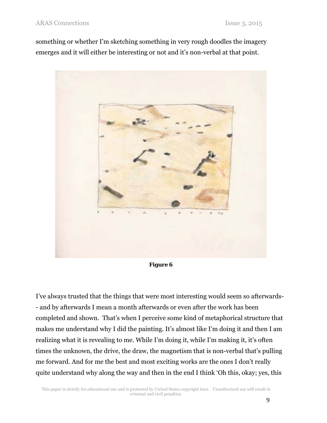something or whether I'm sketching something in very rough doodles the imagery emerges and it will either be interesting or not and it's non-verbal at that point.



*Figure 6* 

I've always trusted that the things that were most interesting would seem so afterwards- - and by afterwards I mean a month afterwards or even after the work has been completed and shown. That's when I perceive some kind of metaphorical structure that makes me understand why I did the painting. It's almost like I'm doing it and then I am realizing what it is revealing to me. While I'm doing it, while I'm making it, it's often times the unknown, the drive, the draw, the magnetism that is non-verbal that's pulling me forward. And for me the best and most exciting works are the ones I don't really quite understand why along the way and then in the end I think 'Oh this, okay; yes, this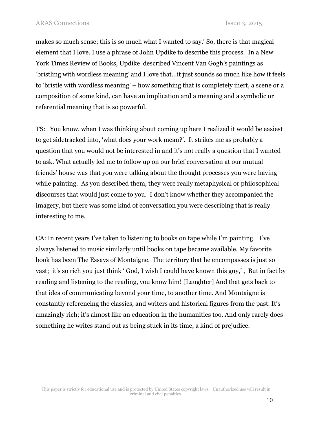makes so much sense; this is so much what I wanted to say.' So, there is that magical element that I love. I use a phrase of John Updike to describe this process. In a New York Times Review of Books, Updike described Vincent Van Gogh's paintings as 'bristling with wordless meaning' and I love that…it just sounds so much like how it feels to 'bristle with wordless meaning' – how something that is completely inert, a scene or a composition of some kind, can have an implication and a meaning and a symbolic or referential meaning that is so powerful.

TS: You know, when I was thinking about coming up here I realized it would be easiest to get sidetracked into, 'what does your work mean?'. It strikes me as probably a question that you would not be interested in and it's not really a question that I wanted to ask. What actually led me to follow up on our brief conversation at our mutual friends' house was that you were talking about the thought processes you were having while painting. As you described them, they were really metaphysical or philosophical discourses that would just come to you. I don't know whether they accompanied the imagery, but there was some kind of conversation you were describing that is really interesting to me.

CA: In recent years I've taken to listening to books on tape while I'm painting. I've always listened to music similarly until books on tape became available. My favorite book has been The Essays of Montaigne. The territory that he encompasses is just so vast; it's so rich you just think ' God, I wish I could have known this guy,' , But in fact by reading and listening to the reading, you know him! [Laughter] And that gets back to that idea of communicating beyond your time, to another time. And Montaigne is constantly referencing the classics, and writers and historical figures from the past. It's amazingly rich; it's almost like an education in the humanities too. And only rarely does something he writes stand out as being stuck in its time, a kind of prejudice.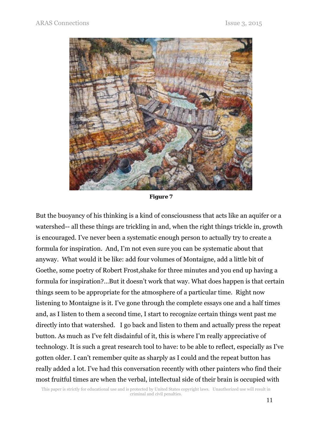

*Figure 7* 

But the buoyancy of his thinking is a kind of consciousness that acts like an aquifer or a watershed-- all these things are trickling in and, when the right things trickle in, growth is encouraged. I've never been a systematic enough person to actually try to create a formula for inspiration. And, I'm not even sure you can be systematic about that anyway. What would it be like: add four volumes of Montaigne, add a little bit of Goethe, some poetry of Robert Frost,shake for three minutes and you end up having a formula for inspiration?…But it doesn't work that way. What does happen is that certain things seem to be appropriate for the atmosphere of a particular time. Right now listening to Montaigne is it. I've gone through the complete essays one and a half times and, as I listen to them a second time, I start to recognize certain things went past me directly into that watershed. I go back and listen to them and actually press the repeat button. As much as I've felt disdainful of it, this is where I'm really appreciative of technology. It is such a great research tool to have: to be able to reflect, especially as I've gotten older. I can't remember quite as sharply as I could and the repeat button has really added a lot. I've had this conversation recently with other painters who find their most fruitful times are when the verbal, intellectual side of their brain is occupied with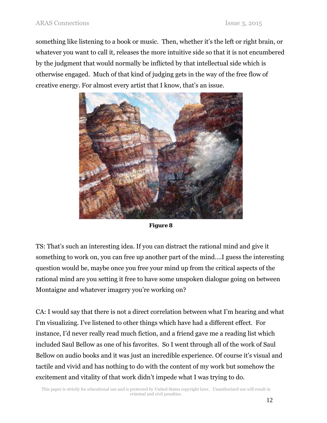something like listening to a book or music. Then, whether it's the left or right brain, or whatever you want to call it, releases the more intuitive side so that it is not encumbered by the judgment that would normally be inflicted by that intellectual side which is otherwise engaged. Much of that kind of judging gets in the way of the free flow of creative energy. For almost every artist that I know, that's an issue.



*Figure 8* 

TS: That's such an interesting idea. If you can distract the rational mind and give it something to work on, you can free up another part of the mind….I guess the interesting question would be, maybe once you free your mind up from the critical aspects of the rational mind are you setting it free to have some unspoken dialogue going on between Montaigne and whatever imagery you're working on?

CA: I would say that there is not a direct correlation between what I'm hearing and what I'm visualizing. I've listened to other things which have had a different effect. For instance, I'd never really read much fiction, and a friend gave me a reading list which included Saul Bellow as one of his favorites. So I went through all of the work of Saul Bellow on audio books and it was just an incredible experience. Of course it's visual and tactile and vivid and has nothing to do with the content of my work but somehow the excitement and vitality of that work didn't impede what I was trying to do.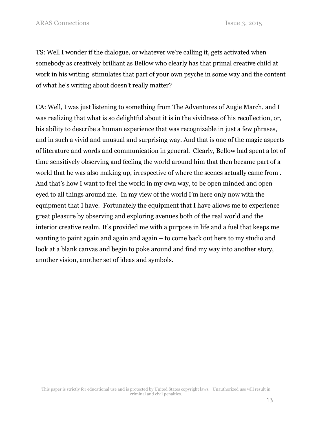TS: Well I wonder if the dialogue, or whatever we're calling it, gets activated when somebody as creatively brilliant as Bellow who clearly has that primal creative child at work in his writing stimulates that part of your own psyche in some way and the content of what he's writing about doesn't really matter?

CA: Well, I was just listening to something from The Adventures of Augie March, and I was realizing that what is so delightful about it is in the vividness of his recollection, or, his ability to describe a human experience that was recognizable in just a few phrases, and in such a vivid and unusual and surprising way. And that is one of the magic aspects of literature and words and communication in general. Clearly, Bellow had spent a lot of time sensitively observing and feeling the world around him that then became part of a world that he was also making up, irrespective of where the scenes actually came from . And that's how I want to feel the world in my own way, to be open minded and open eyed to all things around me. In my view of the world I'm here only now with the equipment that I have. Fortunately the equipment that I have allows me to experience great pleasure by observing and exploring avenues both of the real world and the interior creative realm. It's provided me with a purpose in life and a fuel that keeps me wanting to paint again and again and again – to come back out here to my studio and look at a blank canvas and begin to poke around and find my way into another story, another vision, another set of ideas and symbols.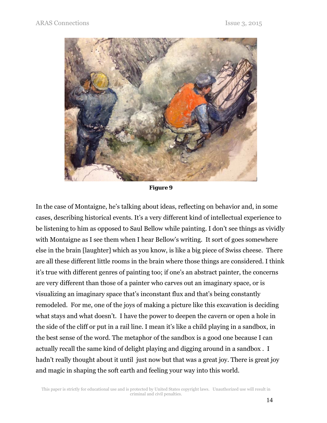

*Figure 9* 

In the case of Montaigne, he's talking about ideas, reflecting on behavior and, in some cases, describing historical events. It's a very different kind of intellectual experience to be listening to him as opposed to Saul Bellow while painting. I don't see things as vividly with Montaigne as I see them when I hear Bellow's writing. It sort of goes somewhere else in the brain [laughter] which as you know, is like a big piece of Swiss cheese. There are all these different little rooms in the brain where those things are considered. I think it's true with different genres of painting too; if one's an abstract painter, the concerns are very different than those of a painter who carves out an imaginary space, or is visualizing an imaginary space that's inconstant flux and that's being constantly remodeled. For me, one of the joys of making a picture like this excavation is deciding what stays and what doesn't. I have the power to deepen the cavern or open a hole in the side of the cliff or put in a rail line. I mean it's like a child playing in a sandbox, in the best sense of the word. The metaphor of the sandbox is a good one because I can actually recall the same kind of delight playing and digging around in a sandbox . I hadn't really thought about it until just now but that was a great joy. There is great joy and magic in shaping the soft earth and feeling your way into this world.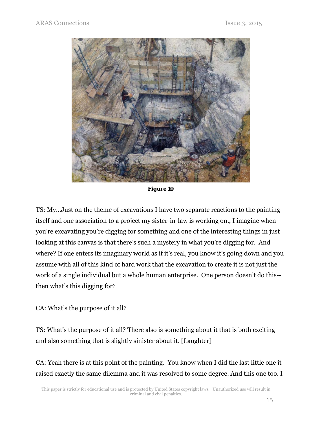

*Figure 10* 

TS: My…Just on the theme of excavations I have two separate reactions to the painting itself and one association to a project my sister-in-law is working on., I imagine when you're excavating you're digging for something and one of the interesting things in just looking at this canvas is that there's such a mystery in what you're digging for. And where? If one enters its imaginary world as if it's real, you know it's going down and you assume with all of this kind of hard work that the excavation to create it is not just the work of a single individual but a whole human enterprise. One person doesn't do this- then what's this digging for?

CA: What's the purpose of it all?

TS: What's the purpose of it all? There also is something about it that is both exciting and also something that is slightly sinister about it. [Laughter]

CA: Yeah there is at this point of the painting. You know when I did the last little one it raised exactly the same dilemma and it was resolved to some degree. And this one too. I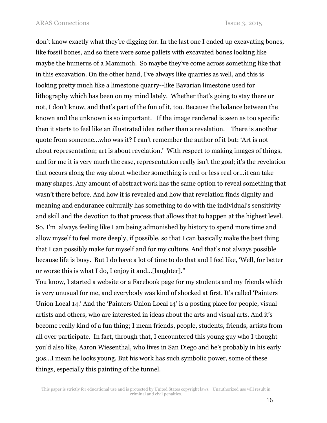don't know exactly what they're digging for. In the last one I ended up excavating bones, like fossil bones, and so there were some pallets with excavated bones looking like maybe the humerus of a Mammoth. So maybe they've come across something like that in this excavation. On the other hand, I've always like quarries as well, and this is looking pretty much like a limestone quarry--like Bavarian limestone used for lithography which has been on my mind lately. Whether that's going to stay there or not, I don't know, and that's part of the fun of it, too. Because the balance between the known and the unknown is so important. If the image rendered is seen as too specific then it starts to feel like an illustrated idea rather than a revelation. There is another quote from someone…who was it? I can't remember the author of it but: 'Art is not about representation; art is about revelation.' With respect to making images of things, and for me it is very much the case, representation really isn't the goal; it's the revelation that occurs along the way about whether something is real or less real or…it can take many shapes. Any amount of abstract work has the same option to reveal something that wasn't there before. And how it is revealed and how that revelation finds dignity and meaning and endurance culturally has something to do with the individual's sensitivity and skill and the devotion to that process that allows that to happen at the highest level. So, I'm always feeling like I am being admonished by history to spend more time and allow myself to feel more deeply, if possible, so that I can basically make the best thing that I can possibly make for myself and for my culture. And that's not always possible because life is busy. But I do have a lot of time to do that and I feel like, 'Well, for better or worse this is what I do, I enjoy it and…[laughter]."

You know, I started a website or a Facebook page for my students and my friends which is very unusual for me, and everybody was kind of shocked at first. It's called 'Painters Union Local 14.' And the 'Painters Union Local 14' is a posting place for people, visual artists and others, who are interested in ideas about the arts and visual arts. And it's become really kind of a fun thing; I mean friends, people, students, friends, artists from all over participate. In fact, through that, I encountered this young guy who I thought you'd also like, Aaron Wiesenthal, who lives in San Diego and he's probably in his early 30s…I mean he looks young. But his work has such symbolic power, some of these things, especially this painting of the tunnel.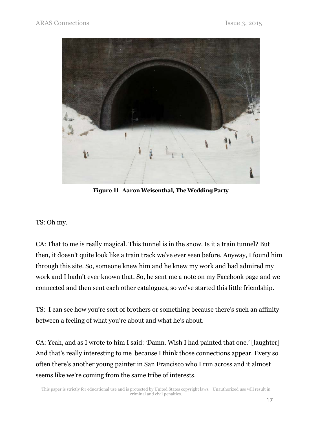

*Figure 11 Aaron Weisenthal,* **The Wedding Party**

TS: Oh my.

CA: That to me is really magical. This tunnel is in the snow. Is it a train tunnel? But then, it doesn't quite look like a train track we've ever seen before. Anyway, I found him through this site. So, someone knew him and he knew my work and had admired my work and I hadn't ever known that. So, he sent me a note on my Facebook page and we connected and then sent each other catalogues, so we've started this little friendship.

TS: I can see how you're sort of brothers or something because there's such an affinity between a feeling of what you're about and what he's about.

CA: Yeah, and as I wrote to him I said: 'Damn. Wish I had painted that one.' [laughter] And that's really interesting to me because I think those connections appear. Every so often there's another young painter in San Francisco who I run across and it almost seems like we're coming from the same tribe of interests.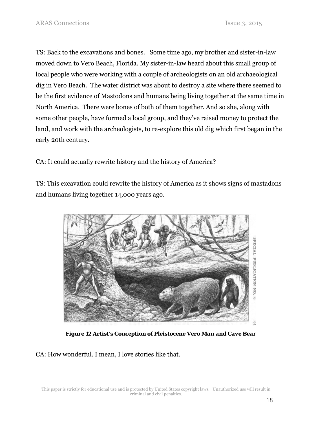TS: Back to the excavations and bones. Some time ago, my brother and sister-in-law moved down to Vero Beach, Florida. My sister-in-law heard about this small group of local people who were working with a couple of archeologists on an old archaeological dig in Vero Beach. The water district was about to destroy a site where there seemed to be the first evidence of Mastodons and humans being living together at the same time in North America. There were bones of both of them together. And so she, along with some other people, have formed a local group, and they've raised money to protect the land, and work with the archeologists, to re-explore this old dig which first began in the early 20th century.

CA: It could actually rewrite history and the history of America?

TS: This excavation could rewrite the history of America as it shows signs of mastadons and humans living together 14,000 years ago.



*Figure 12 Artist's Conception of Pleistocene Vero Man and Cave Bear* 

CA: How wonderful. I mean, I love stories like that.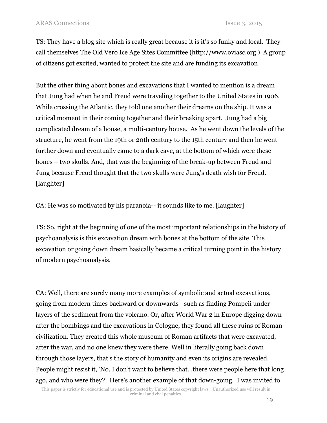TS: They have a blog site which is really great because it is it's so funky and local. They call themselves The Old Vero Ice Age Sites Committee (http://www.oviasc.org ) A group of citizens got excited, wanted to protect the site and are funding its excavation

But the other thing about bones and excavations that I wanted to mention is a dream that Jung had when he and Freud were traveling together to the United States in 1906. While crossing the Atlantic, they told one another their dreams on the ship. It was a critical moment in their coming together and their breaking apart. Jung had a big complicated dream of a house, a multi-century house. As he went down the levels of the structure, he went from the 19th or 20th century to the 15th century and then he went further down and eventually came to a dark cave, at the bottom of which were these bones – two skulls. And, that was the beginning of the break-up between Freud and Jung because Freud thought that the two skulls were Jung's death wish for Freud. [laughter]

CA: He was so motivated by his paranoia-- it sounds like to me. [laughter]

TS: So, right at the beginning of one of the most important relationships in the history of psychoanalysis is this excavation dream with bones at the bottom of the site. This excavation or going down dream basically became a critical turning point in the history of modern psychoanalysis.

CA: Well, there are surely many more examples of symbolic and actual excavations, going from modern times backward or downwards—such as finding Pompeii under layers of the sediment from the volcano. Or, after World War 2 in Europe digging down after the bombings and the excavations in Cologne, they found all these ruins of Roman civilization. They created this whole museum of Roman artifacts that were excavated, after the war, and no one knew they were there. Well in literally going back down through those layers, that's the story of humanity and even its origins are revealed. People might resist it, 'No, I don't want to believe that…there were people here that long ago, and who were they?' Here's another example of that down-going. I was invited to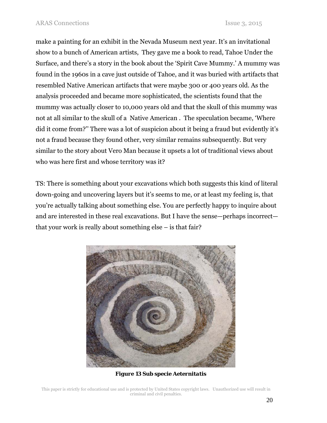make a painting for an exhibit in the Nevada Museum next year. It's an invitational show to a bunch of American artists, They gave me a book to read, Tahoe Under the Surface, and there's a story in the book about the 'Spirit Cave Mummy.' A mummy was found in the 1960s in a cave just outside of Tahoe, and it was buried with artifacts that resembled Native American artifacts that were maybe 300 or 400 years old. As the analysis proceeded and became more sophisticated, the scientists found that the mummy was actually closer to 10,000 years old and that the skull of this mummy was not at all similar to the skull of a Native American . The speculation became, 'Where did it come from?'' There was a lot of suspicion about it being a fraud but evidently it's not a fraud because they found other, very similar remains subsequently. But very similar to the story about Vero Man because it upsets a lot of traditional views about who was here first and whose territory was it?

TS: There is something about your excavations which both suggests this kind of literal down-going and uncovering layers but it's seems to me, or at least my feeling is, that you're actually talking about something else. You are perfectly happy to inquire about and are interested in these real excavations. But I have the sense—perhaps incorrect that your work is really about something else – is that fair?



*Figure 13 Sub specie Aeternitatis*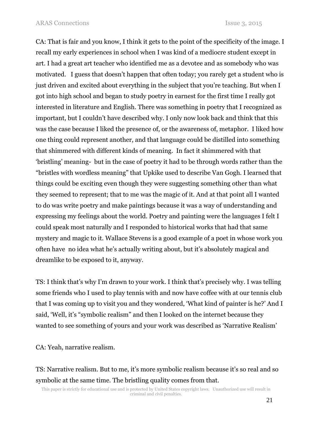CA: That is fair and you know, I think it gets to the point of the specificity of the image. I recall my early experiences in school when I was kind of a mediocre student except in art. I had a great art teacher who identified me as a devotee and as somebody who was motivated. I guess that doesn't happen that often today; you rarely get a student who is just driven and excited about everything in the subject that you're teaching. But when I got into high school and began to study poetry in earnest for the first time I really got interested in literature and English. There was something in poetry that I recognized as important, but I couldn't have described why. I only now look back and think that this was the case because I liked the presence of, or the awareness of, metaphor. I liked how one thing could represent another, and that language could be distilled into something that shimmered with different kinds of meaning. In fact it shimmered with that 'bristling' meaning- but in the case of poetry it had to be through words rather than the "bristles with wordless meaning" that Upkike used to describe Van Gogh. I learned that things could be exciting even though they were suggesting something other than what they seemed to represent; that to me was the magic of it. And at that point all I wanted to do was write poetry and make paintings because it was a way of understanding and expressing my feelings about the world. Poetry and painting were the languages I felt I could speak most naturally and I responded to historical works that had that same mystery and magic to it. Wallace Stevens is a good example of a poet in whose work you often have no idea what he's actually writing about, but it's absolutely magical and dreamlike to be exposed to it, anyway.

TS: I think that's why I'm drawn to your work. I think that's precisely why. I was telling some friends who I used to play tennis with and now have coffee with at our tennis club that I was coming up to visit you and they wondered, 'What kind of painter is he?' And I said, 'Well, it's "symbolic realism" and then I looked on the internet because they wanted to see something of yours and your work was described as 'Narrative Realism'

CA: Yeah, narrative realism.

TS: Narrative realism. But to me, it's more symbolic realism because it's so real and so symbolic at the same time. The bristling quality comes from that.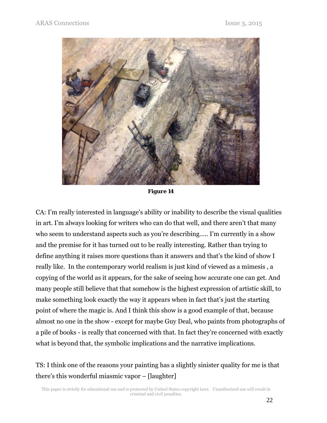

*Figure 14* 

CA: I'm really interested in language's ability or inability to describe the visual qualities in art. I'm always looking for writers who can do that well, and there aren't that many who seem to understand aspects such as you're describing….. I'm currently in a show and the premise for it has turned out to be really interesting. Rather than trying to define anything it raises more questions than it answers and that's the kind of show I really like. In the contemporary world realism is just kind of viewed as a mimesis , a copying of the world as it appears, for the sake of seeing how accurate one can get. And many people still believe that that somehow is the highest expression of artistic skill, to make something look exactly the way it appears when in fact that's just the starting point of where the magic is. And I think this show is a good example of that, because almost no one in the show - except for maybe Guy Deal, who paints from photographs of a pile of books - is really that concerned with that. In fact they're concerned with exactly what is beyond that, the symbolic implications and the narrative implications.

TS: I think one of the reasons your painting has a slightly sinister quality for me is that there's this wonderful miasmic vapor – [laughter]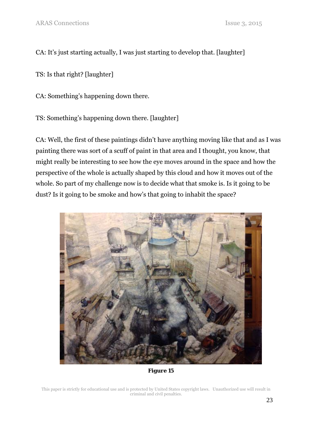CA: It's just starting actually, I was just starting to develop that. [laughter]

TS: Is that right? [laughter]

CA: Something's happening down there.

TS: Something's happening down there. [laughter]

CA: Well, the first of these paintings didn't have anything moving like that and as I was painting there was sort of a scuff of paint in that area and I thought, you know, that might really be interesting to see how the eye moves around in the space and how the perspective of the whole is actually shaped by this cloud and how it moves out of the whole. So part of my challenge now is to decide what that smoke is. Is it going to be dust? Is it going to be smoke and how's that going to inhabit the space?



*Figure 15*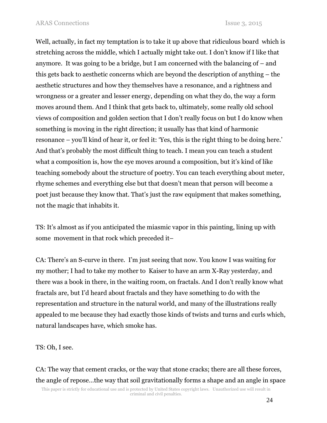Well, actually, in fact my temptation is to take it up above that ridiculous board which is stretching across the middle, which I actually might take out. I don't know if I like that anymore. It was going to be a bridge, but I am concerned with the balancing of – and this gets back to aesthetic concerns which are beyond the description of anything – the aesthetic structures and how they themselves have a resonance, and a rightness and wrongness or a greater and lesser energy, depending on what they do, the way a form moves around them. And I think that gets back to, ultimately, some really old school views of composition and golden section that I don't really focus on but I do know when something is moving in the right direction; it usually has that kind of harmonic resonance – you'll kind of hear it, or feel it: 'Yes, this is the right thing to be doing here.' And that's probably the most difficult thing to teach. I mean you can teach a student what a composition is, how the eye moves around a composition, but it's kind of like teaching somebody about the structure of poetry. You can teach everything about meter, rhyme schemes and everything else but that doesn't mean that person will become a poet just because they know that. That's just the raw equipment that makes something, not the magic that inhabits it.

TS: It's almost as if you anticipated the miasmic vapor in this painting, lining up with some movement in that rock which preceded it–

CA: There's an S-curve in there. I'm just seeing that now. You know I was waiting for my mother; I had to take my mother to Kaiser to have an arm X-Ray yesterday, and there was a book in there, in the waiting room, on fractals. And I don't really know what fractals are, but I'd heard about fractals and they have something to do with the representation and structure in the natural world, and many of the illustrations really appealed to me because they had exactly those kinds of twists and turns and curls which, natural landscapes have, which smoke has.

TS: Oh, I see.

CA: The way that cement cracks, or the way that stone cracks; there are all these forces, the angle of repose…the way that soil gravitationally forms a shape and an angle in space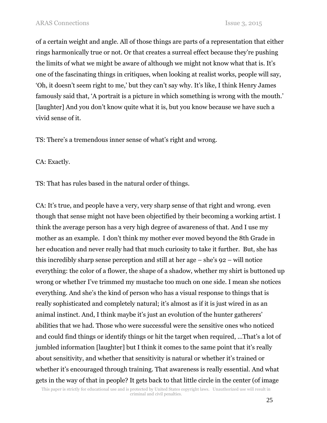of a certain weight and angle. All of those things are parts of a representation that either rings harmonically true or not. Or that creates a surreal effect because they're pushing the limits of what we might be aware of although we might not know what that is. It's one of the fascinating things in critiques, when looking at realist works, people will say, 'Oh, it doesn't seem right to me,' but they can't say why. It's like, I think Henry James famously said that, 'A portrait is a picture in which something is wrong with the mouth.' [laughter] And you don't know quite what it is, but you know because we have such a vivid sense of it.

TS: There's a tremendous inner sense of what's right and wrong.

CA: Exactly.

TS: That has rules based in the natural order of things.

CA: It's true, and people have a very, very sharp sense of that right and wrong. even though that sense might not have been objectified by their becoming a working artist. I think the average person has a very high degree of awareness of that. And I use my mother as an example. I don't think my mother ever moved beyond the 8th Grade in her education and never really had that much curiosity to take it further. But, she has this incredibly sharp sense perception and still at her age – she's 92 – will notice everything: the color of a flower, the shape of a shadow, whether my shirt is buttoned up wrong or whether I've trimmed my mustache too much on one side. I mean she notices everything. And she's the kind of person who has a visual response to things that is really sophisticated and completely natural; it's almost as if it is just wired in as an animal instinct. And, I think maybe it's just an evolution of the hunter gatherers' abilities that we had. Those who were successful were the sensitive ones who noticed and could find things or identify things or hit the target when required, …That's a lot of jumbled information [laughter] but I think it comes to the same point that it's really about sensitivity, and whether that sensitivity is natural or whether it's trained or whether it's encouraged through training. That awareness is really essential. And what gets in the way of that in people? It gets back to that little circle in the center (of image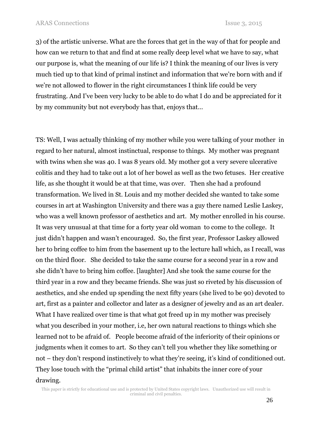3) of the artistic universe. What are the forces that get in the way of that for people and how can we return to that and find at some really deep level what we have to say, what our purpose is, what the meaning of our life is? I think the meaning of our lives is very much tied up to that kind of primal instinct and information that we're born with and if we're not allowed to flower in the right circumstances I think life could be very frustrating. And I've been very lucky to be able to do what I do and be appreciated for it by my community but not everybody has that, enjoys that…

TS: Well, I was actually thinking of my mother while you were talking of your mother in regard to her natural, almost instinctual, response to things. My mother was pregnant with twins when she was 40. I was 8 years old. My mother got a very severe ulcerative colitis and they had to take out a lot of her bowel as well as the two fetuses. Her creative life, as she thought it would be at that time, was over. Then she had a profound transformation. We lived in St. Louis and my mother decided she wanted to take some courses in art at Washington University and there was a guy there named Leslie Laskey, who was a well known professor of aesthetics and art. My mother enrolled in his course. It was very unusual at that time for a forty year old woman to come to the college. It just didn't happen and wasn't encouraged. So, the first year, Professor Laskey allowed her to bring coffee to him from the basement up to the lecture hall which, as I recall, was on the third floor. She decided to take the same course for a second year in a row and she didn't have to bring him coffee. [laughter] And she took the same course for the third year in a row and they became friends. She was just so riveted by his discussion of aesthetics, and she ended up spending the next fifty years (she lived to be 90) devoted to art, first as a painter and collector and later as a designer of jewelry and as an art dealer. What I have realized over time is that what got freed up in my mother was precisely what you described in your mother, i.e, her own natural reactions to things which she learned not to be afraid of. People become afraid of the inferiority of their opinions or judgments when it comes to art. So they can't tell you whether they like something or not – they don't respond instinctively to what they're seeing, it's kind of conditioned out. They lose touch with the "primal child artist" that inhabits the inner core of your drawing.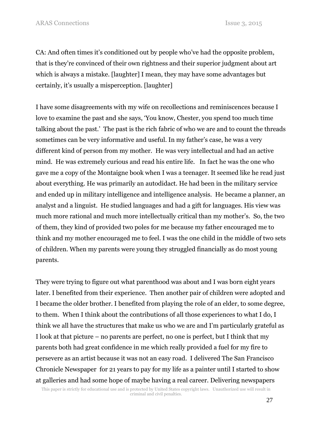CA: And often times it's conditioned out by people who've had the opposite problem, that is they're convinced of their own rightness and their superior judgment about art which is always a mistake. [laughter] I mean, they may have some advantages but certainly, it's usually a misperception. [laughter]

I have some disagreements with my wife on recollections and reminiscences because I love to examine the past and she says, 'You know, Chester, you spend too much time talking about the past.' The past is the rich fabric of who we are and to count the threads sometimes can be very informative and useful. In my father's case, he was a very different kind of person from my mother. He was very intellectual and had an active mind. He was extremely curious and read his entire life. In fact he was the one who gave me a copy of the Montaigne book when I was a teenager. It seemed like he read just about everything. He was primarily an autodidact. He had been in the military service and ended up in military intelligence and intelligence analysis. He became a planner, an analyst and a linguist. He studied languages and had a gift for languages. His view was much more rational and much more intellectually critical than my mother's. So, the two of them, they kind of provided two poles for me because my father encouraged me to think and my mother encouraged me to feel. I was the one child in the middle of two sets of children. When my parents were young they struggled financially as do most young parents.

They were trying to figure out what parenthood was about and I was born eight years later. I benefited from their experience. Then another pair of children were adopted and I became the older brother. I benefited from playing the role of an elder, to some degree, to them. When I think about the contributions of all those experiences to what I do, I think we all have the structures that make us who we are and I'm particularly grateful as I look at that picture – no parents are perfect, no one is perfect, but I think that my parents both had great confidence in me which really provided a fuel for my fire to persevere as an artist because it was not an easy road. I delivered The San Francisco Chronicle Newspaper for 21 years to pay for my life as a painter until I started to show at galleries and had some hope of maybe having a real career. Delivering newspapers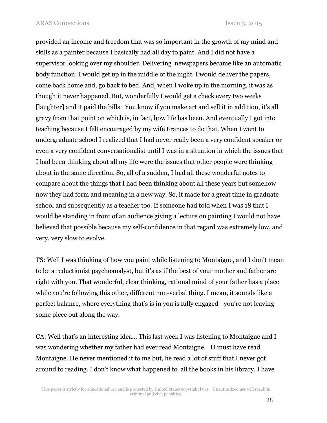provided an income and freedom that was so important in the growth of my mind and skills as a painter because I basically had all day to paint. And I did not have a supervisor looking over my shoulder. Delivering newspapers became like an automatic body function: I would get up in the middle of the night. I would deliver the papers, come back home and, go back to bed. And, when I woke up in the morning, it was as though it never happened. But, wonderfully I would get a check every two weeks [laughter] and it paid the bills. You know if you make art and sell it in addition, it's all gravy from that point on which is, in fact, how life has been. And eventually I got into teaching because I felt encouraged by my wife Frances to do that. When I went to undergraduate school I realized that I had never really been a very confident speaker or even a very confident conversationalist until I was in a situation in which the issues that I had been thinking about all my life were the issues that other people were thinking about in the same direction. So, all of a sudden, I had all these wonderful notes to compare about the things that I had been thinking about all these years but somehow now they had form and meaning in a new way. So, it made for a great time in graduate school and subsequently as a teacher too. If someone had told when I was 18 that I would be standing in front of an audience giving a lecture on painting I would not have believed that possible because my self-confidence in that regard was extremely low, and very, very slow to evolve.

TS: Well I was thinking of how you paint while listening to Montaigne, and I don't mean to be a reductionist psychoanalyst, but it's as if the best of your mother and father are right with you. That wonderful, clear thinking, rational mind of your father has a place while you're following this other, different non-verbal thing. I mean, it sounds like a perfect balance, where everything that's is in you is fully engaged - you're not leaving some piece out along the way.

CA: Well that's an interesting idea… This last week I was listening to Montaigne and I was wondering whether my father had ever read Montaigne. H must have read Montaigne. He never mentioned it to me but, he read a lot of stuff that I never got around to reading. I don't know what happened to all the books in his library. I have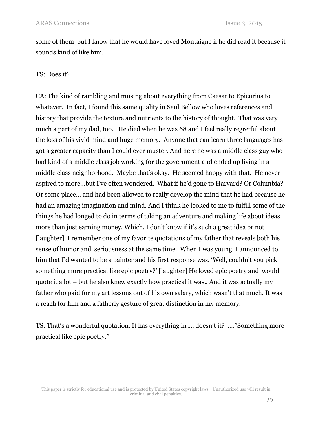some of them but I know that he would have loved Montaigne if he did read it because it sounds kind of like him.

### TS: Does it?

CA: The kind of rambling and musing about everything from Caesar to Epicurius to whatever. In fact, I found this same quality in Saul Bellow who loves references and history that provide the texture and nutrients to the history of thought. That was very much a part of my dad, too. He died when he was 68 and I feel really regretful about the loss of his vivid mind and huge memory. Anyone that can learn three languages has got a greater capacity than I could ever muster. And here he was a middle class guy who had kind of a middle class job working for the government and ended up living in a middle class neighborhood. Maybe that's okay. He seemed happy with that. He never aspired to more…but I've often wondered, 'What if he'd gone to Harvard? Or Columbia? Or some place… and had been allowed to really develop the mind that he had because he had an amazing imagination and mind. And I think he looked to me to fulfill some of the things he had longed to do in terms of taking an adventure and making life about ideas more than just earning money. Which, I don't know if it's such a great idea or not [laughter] I remember one of my favorite quotations of my father that reveals both his sense of humor and seriousness at the same time. When I was young, I announced to him that I'd wanted to be a painter and his first response was, 'Well, couldn't you pick something more practical like epic poetry?' [laughter] He loved epic poetry and would quote it a lot – but he also knew exactly how practical it was.. And it was actually my father who paid for my art lessons out of his own salary, which wasn't that much. It was a reach for him and a fatherly gesture of great distinction in my memory.

TS: That's a wonderful quotation. It has everything in it, doesn't it? …."Something more practical like epic poetry."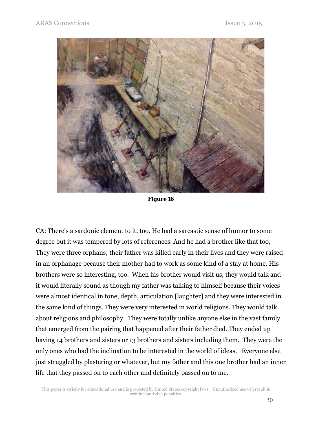

*Figure 16* 

CA: There's a sardonic element to it, too. He had a sarcastic sense of humor to some degree but it was tempered by lots of references. And he had a brother like that too, They were three orphans; their father was killed early in their lives and they were raised in an orphanage because their mother had to work as some kind of a stay at home. His brothers were so interesting, too. When his brother would visit us, they would talk and it would literally sound as though my father was talking to himself because their voices were almost identical in tone, depth, articulation [laughter] and they were interested in the same kind of things. They were very interested in world religions. They would talk about religions and philosophy. They were totally unlike anyone else in the vast family that emerged from the pairing that happened after their father died. They ended up having 14 brothers and sisters or 13 brothers and sisters including them. They were the only ones who had the inclination to be interested in the world of ideas. Everyone else just struggled by plastering or whatever, but my father and this one brother had an inner life that they passed on to each other and definitely passed on to me.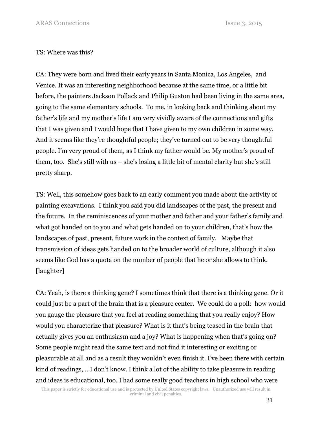#### TS: Where was this?

CA: They were born and lived their early years in Santa Monica, Los Angeles, and Venice. It was an interesting neighborhood because at the same time, or a little bit before, the painters Jackson Pollack and Philip Guston had been living in the same area, going to the same elementary schools. To me, in looking back and thinking about my father's life and my mother's life I am very vividly aware of the connections and gifts that I was given and I would hope that I have given to my own children in some way. And it seems like they're thoughtful people; they've turned out to be very thoughtful people. I'm very proud of them, as I think my father would be. My mother's proud of them, too. She's still with us – she's losing a little bit of mental clarity but she's still pretty sharp.

TS: Well, this somehow goes back to an early comment you made about the activity of painting excavations. I think you said you did landscapes of the past, the present and the future. In the reminiscences of your mother and father and your father's family and what got handed on to you and what gets handed on to your children, that's how the landscapes of past, present, future work in the context of family. Maybe that transmission of ideas gets handed on to the broader world of culture, although it also seems like God has a quota on the number of people that he or she allows to think. [laughter]

CA: Yeah, is there a thinking gene? I sometimes think that there is a thinking gene. Or it could just be a part of the brain that is a pleasure center. We could do a poll: how would you gauge the pleasure that you feel at reading something that you really enjoy? How would you characterize that pleasure? What is it that's being teased in the brain that actually gives you an enthusiasm and a joy? What is happening when that's going on? Some people might read the same text and not find it interesting or exciting or pleasurable at all and as a result they wouldn't even finish it. I've been there with certain kind of readings, …I don't know. I think a lot of the ability to take pleasure in reading and ideas is educational, too. I had some really good teachers in high school who were